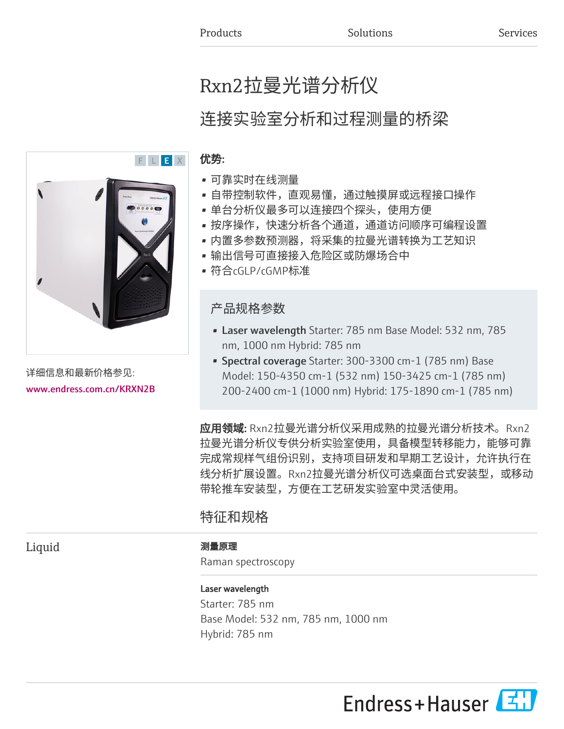# Rxn2拉曼光谱分析仪

# 连接实验室分析和过程测量的桥梁

## 优势:

- 可靠实时在线测量
- 自带控制软件,直观易懂,通过触摸屏或远程接口操作
- 单台分析仪最多可以连接四个探头,使用方便
- 按序操作,快速分析各个通道,通道访问顺序可编程设置
- 内置多参数预测器,将采集的拉曼光谱转换为工艺知识
- 输出信号可直接接入危险区或防爆场合中
- 符合cGLP/cGMP标准

## 产品规格参数

- Laser wavelength Starter: 785 nm Base Model: 532 nm, 785 nm, 1000 nm Hybrid: 785 nm
- Spectral coverage Starter: 300-3300 cm-1 (785 nm) Base Model: 150-4350 cm-1 (532 nm) 150-3425 cm-1 (785 nm) 200-2400 cm-1 (1000 nm) Hybrid: 175-1890 cm-1 (785 nm)

**应用领域:** Rxn2拉曼光谱分析仪采用成熟的拉曼光谱分析技术。Rxn2 拉曼光谱分析仪专供分析实验室使用,具备模型转移能力,能够可靠 完成常规样气组份识别,支持项目研发和早期工艺设计,允许执行在 线分析扩展设置。Rxn2拉曼光谱分析仪可选桌面台式安装型,或移动 带轮推车安装型,方便在工艺研发实验室中灵活使用。

## 特征和规格

## Liquid 测量原理

Raman spectroscopy

## Laser wavelength

Starter: 785 nm Base Model: 532 nm, 785 nm, 1000 nm Hybrid: 785 nm





详细信息和最新价格参见:

[www.endress.com.cn/KRXN2B](https://www.endress.com.cn/KRXN2B)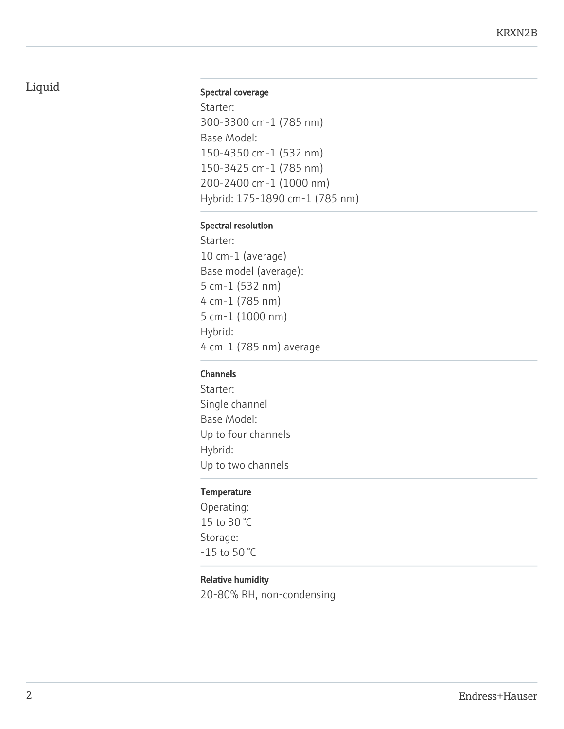## Liquid Spectral coverage

Starter: 300-3300 cm-1 (785 nm) Base Model: 150-4350 cm-1 (532 nm) 150-3425 cm-1 (785 nm) 200-2400 cm-1 (1000 nm) Hybrid: 175-1890 cm-1 (785 nm)

## Spectral resolution

Starter: 10 cm-1 (average) Base model (average): 5 cm-1 (532 nm) 4 cm-1 (785 nm) 5 cm-1 (1000 nm) Hybrid: 4 cm-1 (785 nm) average

## Channels

Starter: Single channel Base Model: Up to four channels Hybrid: Up to two channels

## **Temperature**

Operating: 15 to 30 °C Storage: -15 to 50 °C

## Relative humidity

20-80% RH, non-condensing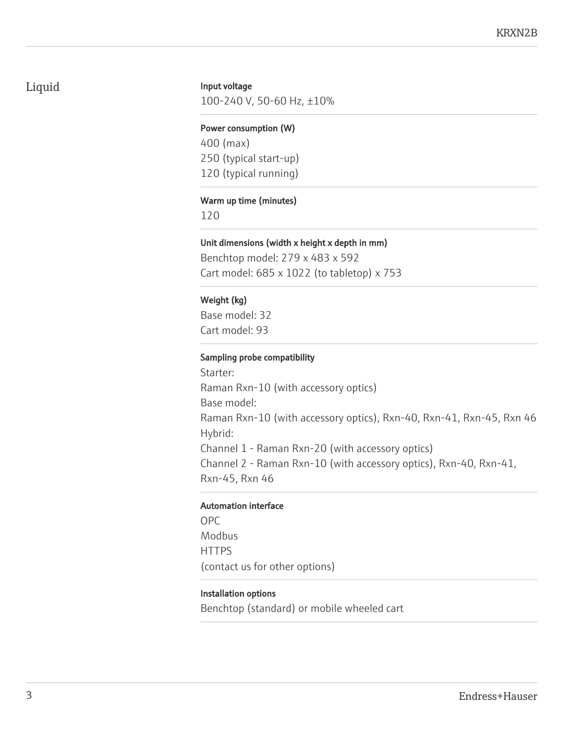## Liquid

## Input voltage

100-240 V, 50-60 Hz, ±10%

#### Power consumption (W)

400 (max) 250 (typical start-up) 120 (typical running)

## Warm up time (minutes)

120

## Unit dimensions (width x height x depth in mm)

Benchtop model: 279 x 483 x 592 Cart model: 685 x 1022 (to tabletop) x 753

## Weight (kg)

Base model: 32 Cart model: 93

## Sampling probe compatibility

Starter: Raman Rxn-10 (with accessory optics) Base model: Raman Rxn-10 (with accessory optics), Rxn-40, Rxn-41, Rxn-45, Rxn 46 Hybrid: Channel 1 - Raman Rxn-20 (with accessory optics) Channel 2 - Raman Rxn-10 (with accessory optics), Rxn-40, Rxn-41, Rxn-45, Rxn 46

## Automation interface

OPC Modbus **HTTPS** (contact us for other options)

## Installation options

Benchtop (standard) or mobile wheeled cart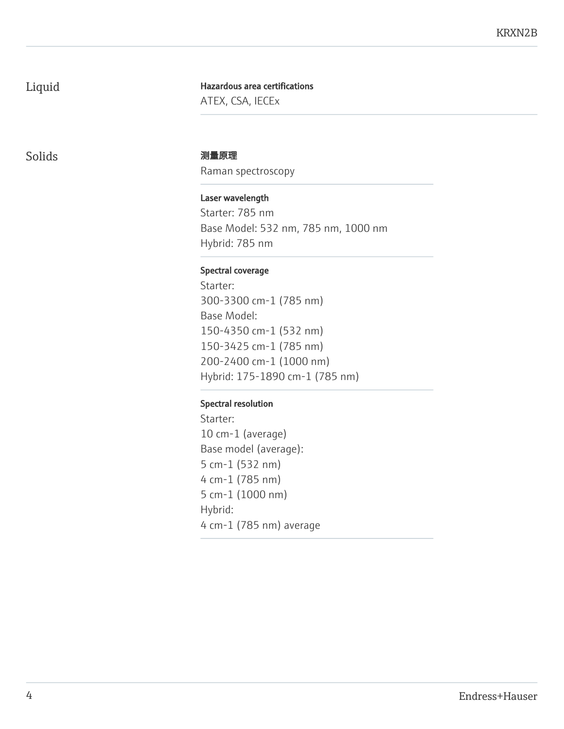## Liquid

Hazardous area certifications ATEX, CSA, IECEx

## Solids 测量原理

Raman spectroscopy

Laser wavelength Starter: 785 nm Base Model: 532 nm, 785 nm, 1000 nm Hybrid: 785 nm

## Spectral coverage

Starter: 300-3300 cm-1 (785 nm) Base Model: 150-4350 cm-1 (532 nm) 150-3425 cm-1 (785 nm) 200-2400 cm-1 (1000 nm) Hybrid: 175-1890 cm-1 (785 nm)

## Spectral resolution

Starter: 10 cm-1 (average) Base model (average): 5 cm-1 (532 nm) 4 cm-1 (785 nm) 5 cm-1 (1000 nm) Hybrid: 4 cm-1 (785 nm) average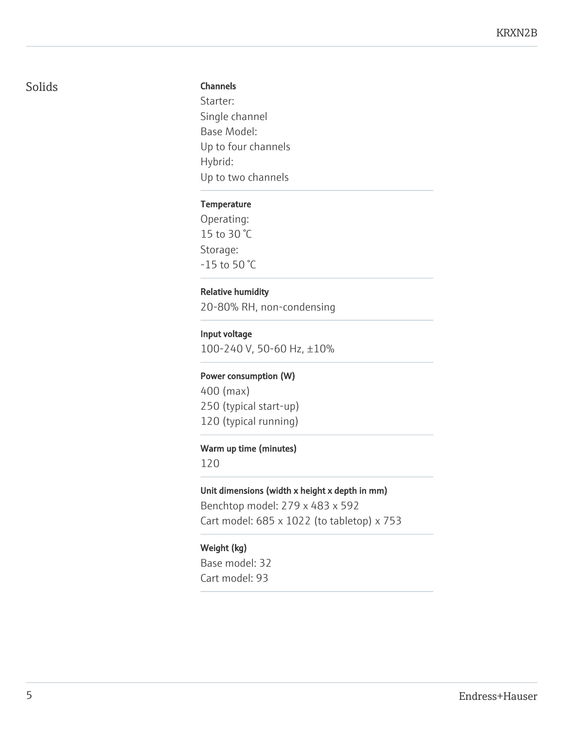## Solids

## Channels

Starter: Single channel Base Model: Up to four channels Hybrid: Up to two channels

## **Temperature**

Operating: 15 to 30 °C Storage: -15 to 50 °C

## Relative humidity

20-80% RH, non-condensing

## Input voltage

100-240 V, 50-60 Hz, ±10%

## Power consumption (W)

400 (max) 250 (typical start-up) 120 (typical running)

## Warm up time (minutes)

120

## Unit dimensions (width x height x depth in mm)

Benchtop model: 279 x 483 x 592 Cart model: 685 x 1022 (to tabletop) x 753

## Weight (kg)

Base model: 32 Cart model: 93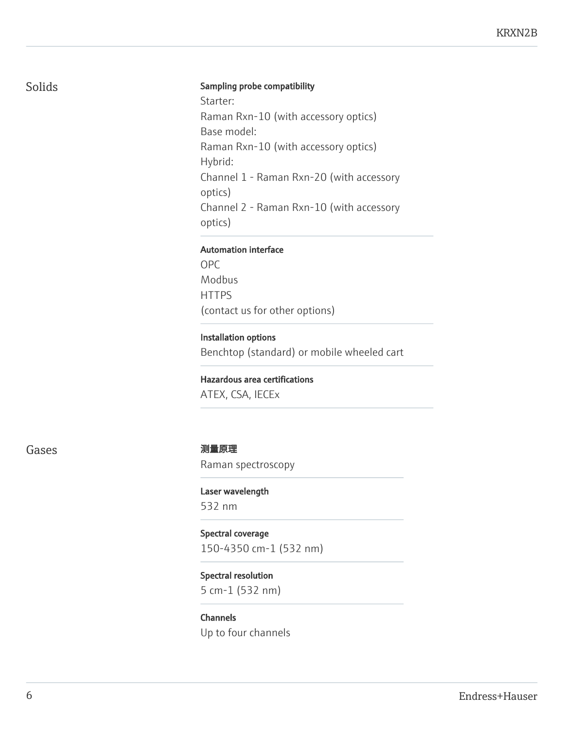## Sampling probe compatibility

Starter: Raman Rxn-10 (with accessory optics) Base model: Raman Rxn-10 (with accessory optics) Hybrid: Channel 1 - Raman Rxn-20 (with accessory optics) Channel 2 - Raman Rxn-10 (with accessory optics)

## Automation interface

OPC Modbus **HTTPS** (contact us for other options)

Installation options Benchtop (standard) or mobile wheeled cart

Hazardous area certifications

ATEX, CSA, IECEx

## Gases 2010 - 2020 - 2020 - 2020 - 2020 - 2020 - 2020 - 2020 - 2020 - 2020 - 2020 - 2020 - 2020 - 20

Raman spectroscopy

Laser wavelength 532 nm

Spectral coverage 150-4350 cm-1 (532 nm)

Spectral resolution 5 cm-1 (532 nm)

Channels Up to four channels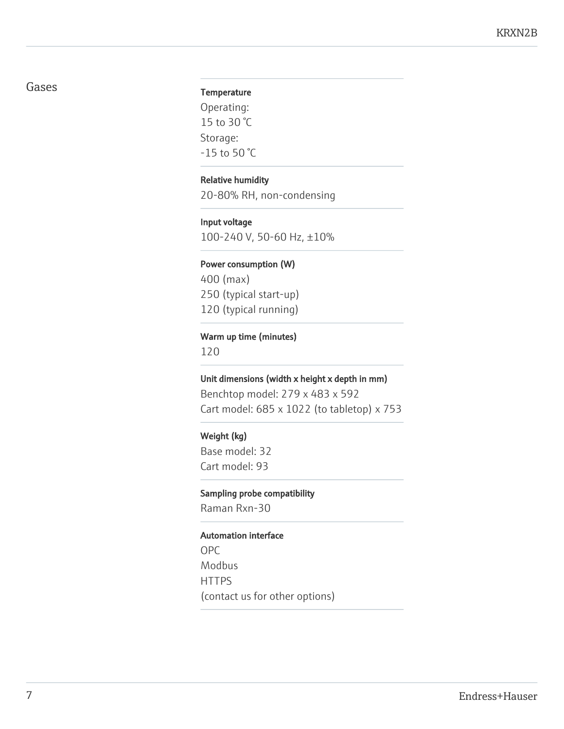## Gases

## **Temperature**

Operating: 15 to 30 °C Storage: -15 to 50 °C

## Relative humidity

20-80% RH, non-condensing

## Input voltage

100-240 V, 50-60 Hz, ±10%

## Power consumption (W)

400 (max) 250 (typical start-up) 120 (typical running)

## Warm up time (minutes)

120

## Unit dimensions (width x height x depth in mm)

Benchtop model: 279 x 483 x 592 Cart model: 685 x 1022 (to tabletop) x 753

## Weight (kg)

Base model: 32 Cart model: 93

#### Sampling probe compatibility

Raman Rxn-30

#### Automation interface

OPC Modbus **HTTPS** (contact us for other options)